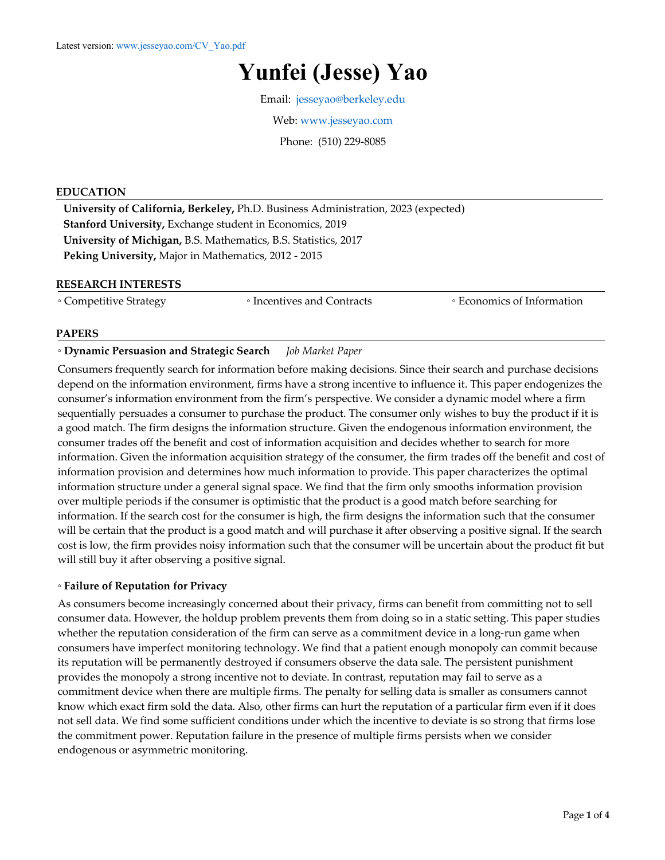# **Yunfei (Jesse) Yao**

Email: jesseyao@berkeley.edu

Web: www.jesseyao.com

Phone: (510) 229-8085

#### **EDUCATION**

**University of California, Berkeley,** Ph.D. Business Administration, 2023 (expected) **Stanford University,** Exchange student in Economics, 2019 **University of Michigan,** B.S. Mathematics, B.S. Statistics, 2017 **Peking University,** Major in Mathematics, 2012 - 2015

#### **RESEARCH INTERESTS**

◦ Competitive Strategy ◦ Incentives and Contracts ◦ Economics of Information

#### **PAPERS**

#### ◦ **Dynamic Persuasion and Strategic Search** *Job Market Paper*

Consumers frequently search for information before making decisions. Since their search and purchase decisions depend on the information environment, firms have a strong incentive to influence it. This paper endogenizes the consumer's information environment from the firm's perspective. We consider a dynamic model where a firm sequentially persuades a consumer to purchase the product. The consumer only wishes to buy the product if it is a good match. The firm designs the information structure. Given the endogenous information environment, the consumer trades off the benefit and cost of information acquisition and decides whether to search for more information. Given the information acquisition strategy of the consumer, the firm trades off the benefit and cost of information provision and determines how much information to provide. This paper characterizes the optimal information structure under a general signal space. We find that the firm only smooths information provision over multiple periods if the consumer is optimistic that the product is a good match before searching for information. If the search cost for the consumer is high, the firm designs the information such that the consumer will be certain that the product is a good match and will purchase it after observing a positive signal. If the search cost is low, the firm provides noisy information such that the consumer will be uncertain about the product fit but will still buy it after observing a positive signal.

#### ◦ **Failure of Reputation for Privacy**

As consumers become increasingly concerned about their privacy, firms can benefit from committing not to sell consumer data. However, the holdup problem prevents them from doing so in a static setting. This paper studies whether the reputation consideration of the firm can serve as a commitment device in a long-run game when consumers have imperfect monitoring technology. We find that a patient enough monopoly can commit because its reputation will be permanently destroyed if consumers observe the data sale. The persistent punishment provides the monopoly a strong incentive not to deviate. In contrast, reputation may fail to serve as a commitment device when there are multiple firms. The penalty for selling data is smaller as consumers cannot know which exact firm sold the data. Also, other firms can hurt the reputation of a particular firm even if it does not sell data. We find some sufficient conditions under which the incentive to deviate is so strong that firms lose the commitment power. Reputation failure in the presence of multiple firms persists when we consider endogenous or asymmetric monitoring.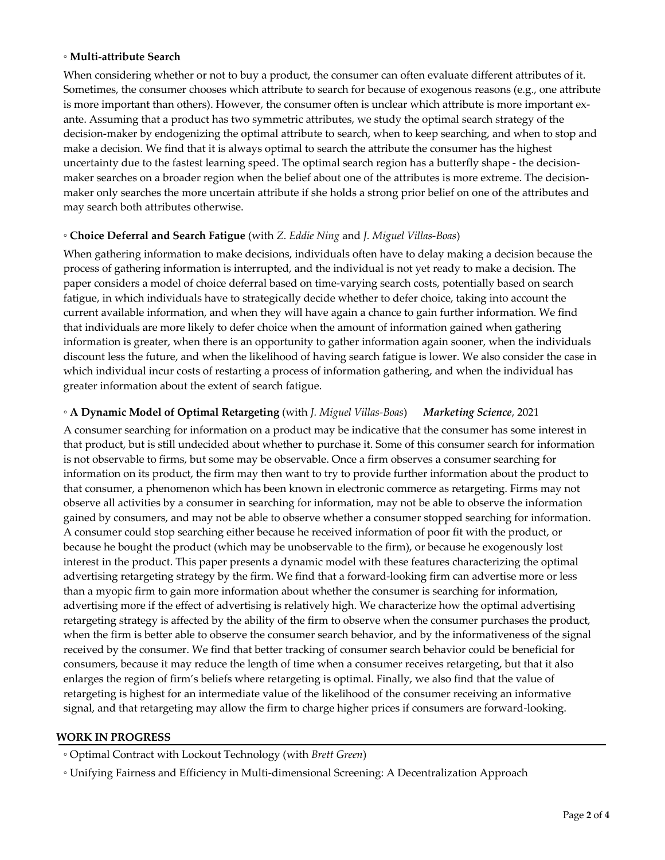### ◦ **Multi-attribute Search**

When considering whether or not to buy a product, the consumer can often evaluate different attributes of it. Sometimes, the consumer chooses which attribute to search for because of exogenous reasons (e.g., one attribute is more important than others). However, the consumer often is unclear which attribute is more important exante. Assuming that a product has two symmetric attributes, we study the optimal search strategy of the decision-maker by endogenizing the optimal attribute to search, when to keep searching, and when to stop and make a decision. We find that it is always optimal to search the attribute the consumer has the highest uncertainty due to the fastest learning speed. The optimal search region has a butterfly shape - the decisionmaker searches on a broader region when the belief about one of the attributes is more extreme. The decisionmaker only searches the more uncertain attribute if she holds a strong prior belief on one of the attributes and may search both attributes otherwise.

# ◦ **Choice Deferral and Search Fatigue** (with *Z. Eddie Ning* and *J. Miguel Villas-Boas*)

When gathering information to make decisions, individuals often have to delay making a decision because the process of gathering information is interrupted, and the individual is not yet ready to make a decision. The paper considers a model of choice deferral based on time-varying search costs, potentially based on search fatigue, in which individuals have to strategically decide whether to defer choice, taking into account the current available information, and when they will have again a chance to gain further information. We find that individuals are more likely to defer choice when the amount of information gained when gathering information is greater, when there is an opportunity to gather information again sooner, when the individuals discount less the future, and when the likelihood of having search fatigue is lower. We also consider the case in which individual incur costs of restarting a process of information gathering, and when the individual has greater information about the extent of search fatigue.

# ◦ **A Dynamic Model of Optimal Retargeting** (with *J. Miguel Villas-Boas*) *Marketing Science*, 2021

A consumer searching for information on a product may be indicative that the consumer has some interest in that product, but is still undecided about whether to purchase it. Some of this consumer search for information is not observable to firms, but some may be observable. Once a firm observes a consumer searching for information on its product, the firm may then want to try to provide further information about the product to that consumer, a phenomenon which has been known in electronic commerce as retargeting. Firms may not observe all activities by a consumer in searching for information, may not be able to observe the information gained by consumers, and may not be able to observe whether a consumer stopped searching for information. A consumer could stop searching either because he received information of poor fit with the product, or because he bought the product (which may be unobservable to the firm), or because he exogenously lost interest in the product. This paper presents a dynamic model with these features characterizing the optimal advertising retargeting strategy by the firm. We find that a forward-looking firm can advertise more or less than a myopic firm to gain more information about whether the consumer is searching for information, advertising more if the effect of advertising is relatively high. We characterize how the optimal advertising retargeting strategy is affected by the ability of the firm to observe when the consumer purchases the product, when the firm is better able to observe the consumer search behavior, and by the informativeness of the signal received by the consumer. We find that better tracking of consumer search behavior could be beneficial for consumers, because it may reduce the length of time when a consumer receives retargeting, but that it also enlarges the region of firm's beliefs where retargeting is optimal. Finally, we also find that the value of retargeting is highest for an intermediate value of the likelihood of the consumer receiving an informative signal, and that retargeting may allow the firm to charge higher prices if consumers are forward-looking.

#### **WORK IN PROGRESS**

◦ Optimal Contract with Lockout Technology (with *Brett Green*)

◦ Unifying Fairness and Efficiency in Multi-dimensional Screening: A Decentralization Approach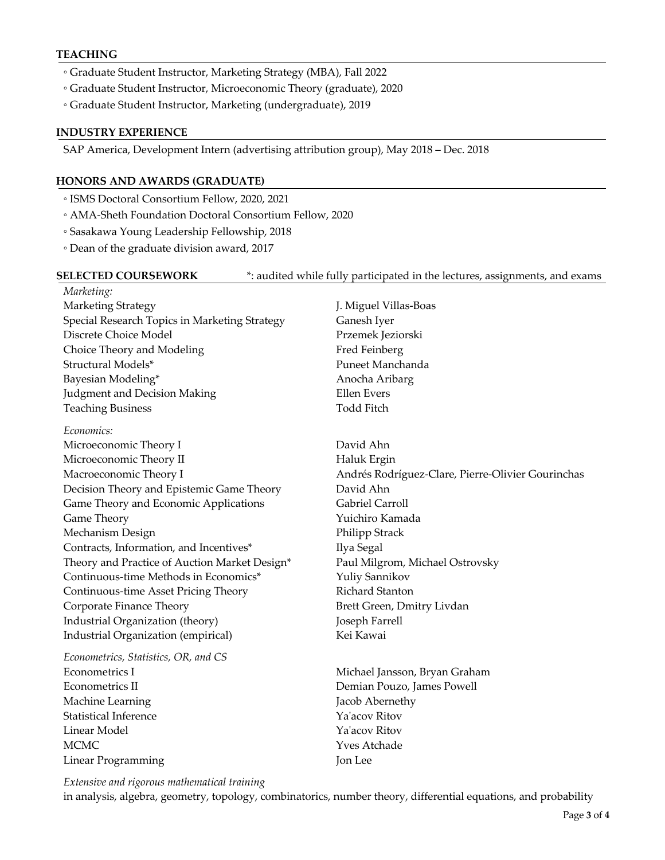#### **TEACHING**

- Graduate Student Instructor, Marketing Strategy (MBA), Fall 2022
- Graduate Student Instructor, Microeconomic Theory (graduate), 2020
- Graduate Student Instructor, Marketing (undergraduate), 2019

#### **INDUSTRY EXPERIENCE**

SAP America, Development Intern (advertising attribution group), May 2018 – Dec. 2018

#### **HONORS AND AWARDS (GRADUATE)**

- ISMS Doctoral Consortium Fellow, 2020, 2021
- AMA-Sheth Foundation Doctoral Consortium Fellow, 2020
- Sasakawa Young Leadership Fellowship, 2018
- Dean of the graduate division award, 2017

# **SELECTED COURSEWORK**  $*$ : audited while fully participated in the lectures, assignments, and exams

*Marketing:* Marketing Strategy J. Miguel Villas-Boas Special Research Topics in Marketing Strategy Ganesh Iyer Discrete Choice Model Przemek Jeziorski Choice Theory and Modeling Fred Feinberg Structural Models\* Puneet Manchanda Bayesian Modeling\* The Communication of the Anocha Aribarg Judgment and Decision Making The Control of the Evers Teaching Business Todd Fitch

*Economics:* 

Microeconomic Theory I David Ahn Microeconomic Theory II Haluk Ergin Decision Theory and Epistemic Game Theory David Ahn Game Theory and Economic Applications Gabriel Carroll Game Theory **Theory Came Theory Came Theory Camada Camada Camada Camada** Mechanism Design **Philipp Strack** Contracts, Information, and Incentives<sup>\*</sup> Ilya Segal Theory and Practice of Auction Market Design\* Paul Milgrom, Michael Ostrovsky Continuous-time Methods in Economics\* Yuliy Sannikov Continuous-time Asset Pricing Theory **Richard Stanton** Corporate Finance Theory **Brett Green, Dmitry Livdan** Industrial Organization (theory) Joseph Farrell Industrial Organization (empirical) Kei Kawai

*Econometrics, Statistics, OR, and CS* Econometrics I Michael Jansson, Bryan Graham Econometrics II Demian Pouzo, James Powell Machine Learning Tacob Abernethy Statistical Inference **Ya'acov** Ritov Linear Model Ya'acov Ritov MCMC Yves Atchade Linear Programming Jon Lee

Macroeconomic Theory I Andrés Rodríguez-Clare, Pierre-Olivier Gourinchas

*Extensive and rigorous mathematical training*

in analysis, algebra, geometry, topology, combinatorics, number theory, differential equations, and probability